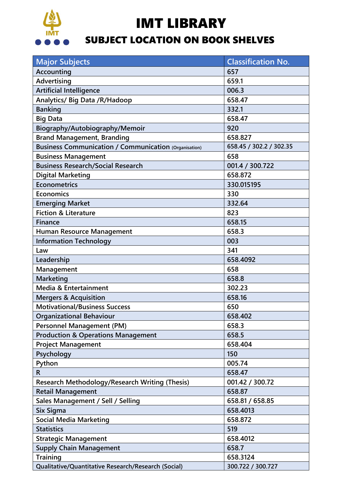

I

## IMT LIBRARY

## SUBJECT LOCATION ON BOOK SHELVES

| <b>Major Subjects</b>                                        | <b>Classification No.</b> |  |
|--------------------------------------------------------------|---------------------------|--|
| Accounting                                                   | 657                       |  |
| Advertising                                                  | 659.1                     |  |
| <b>Artificial Intelligence</b>                               | 006.3                     |  |
| Analytics/ Big Data / R/Hadoop                               | 658.47                    |  |
| <b>Banking</b>                                               | 332.1                     |  |
| <b>Big Data</b>                                              | 658.47                    |  |
| Biography/Autobiography/Memoir                               | 920                       |  |
| <b>Brand Management, Branding</b>                            | 658.827                   |  |
| <b>Business Communication / Communication (Organisation)</b> | 658.45 / 302.2 / 302.35   |  |
| <b>Business Management</b>                                   | 658                       |  |
| <b>Business Research/Social Research</b>                     | 001.4 / 300.722           |  |
| <b>Digital Marketing</b>                                     | 658.872                   |  |
| <b>Econometrics</b>                                          | 330.015195                |  |
| Economics                                                    | 330                       |  |
| <b>Emerging Market</b>                                       | 332.64                    |  |
| <b>Fiction &amp; Literature</b>                              | 823                       |  |
| <b>Finance</b>                                               | 658.15                    |  |
| Human Resource Management                                    | 658.3                     |  |
| <b>Information Technology</b>                                | 003                       |  |
| Law                                                          | 341                       |  |
| Leadership                                                   | 658.4092                  |  |
| Management                                                   | 658                       |  |
| <b>Marketing</b>                                             | 658.8                     |  |
| Media & Entertainment                                        | 302.23                    |  |
| <b>Mergers &amp; Acquisition</b>                             | 658.16                    |  |
| <b>Motivational/Business Success</b>                         | 650                       |  |
| <b>Organizational Behaviour</b>                              | 658.402                   |  |
| <b>Personnel Management (PM)</b>                             | 658.3                     |  |
| <b>Production &amp; Operations Management</b>                | 658.5                     |  |
| <b>Project Management</b>                                    | 658.404                   |  |
| Psychology                                                   | 150                       |  |
| Python                                                       | 005.74                    |  |
| $\mathsf{R}$                                                 | 658.47                    |  |
| <b>Research Methodology/Research Writing (Thesis)</b>        | 001.42 / 300.72           |  |
| <b>Retail Management</b>                                     | 658.87                    |  |
| Sales Management / Sell / Selling                            | 658.81 / 658.85           |  |
| Six Sigma                                                    | 658.4013                  |  |
| <b>Social Media Marketing</b>                                | 658.872                   |  |
| <b>Statistics</b>                                            | 519                       |  |
| <b>Strategic Management</b><br>658.4012                      |                           |  |
| <b>Supply Chain Management</b>                               | 658.7                     |  |
| <b>Training</b>                                              | 658.3124                  |  |
| Qualitative/Quantitative Research/Research (Social)          | 300.722 / 300.727         |  |